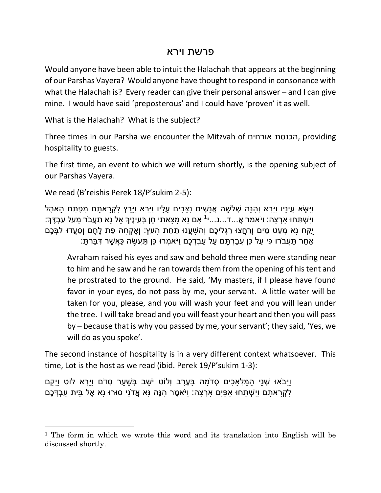## פרשת וירא

Would anyone have been able to intuit the Halachah that appears at the beginning of our Parshas Vayera? Would anyone have thought to respond in consonance with what the Halachah is? Every reader can give their personal answer – and I can give mine. I would have said 'preposterous' and I could have 'proven' it as well.

What is the Halachah? What is the subject?

Three times in our Parsha we encounter the Mitzvah of אורחים הכנסת, providing hospitality to guests.

The first time, an event to which we will return shortly, is the opening subject of our Parshas Vayera.

We read (B'reishis Perek 18/P'sukim 2-5):

 $\overline{\phantom{a}}$ 

ויִּשׂא עיניו וירא והנֵה שַׁלשה אַנשים נצבים עליו וירא ויִרץ לקראתם מפּתח האֹהל ַוַיִּשְׁתַּחוּ אָךְצָה: וַיֹּאמַר אֲ...ד...נ...י<sup>1</sup> אִם נָא מָצָאתִי חֵן בְּעֵינֶיךָ אַל נָא תַעֲבֹר מֵעַל עַבְדֶּךְ: ַיְּקַּח נַא מָעט מים וְרחֵצוּ רגְליכֶם וְהשַׁעֲנוּ תַּחת הַעץ: וְאֵקְחַה פת לֶחֶם וְסַעֲדוּ לִבְּכֶם ַּאֲחַר תַּעֲבֹרוּ כִּי עַל כֵּן עֲבָרְתֵּם עַל עַבְדְּכֶם וַיֹּאמְרוּ כֵּן תַּעֲשֶׂה כַּאֲשֶׁר דְּבַּרְתָּ:

Avraham raised his eyes and saw and behold three men were standing near to him and he saw and he ran towards them from the opening of his tent and he prostrated to the ground. He said, 'My masters, if I please have found favor in your eyes, do not pass by me, your servant. A little water will be taken for you, please, and you will wash your feet and you will lean under the tree. I will take bread and you will feast your heart and then you will pass by – because that is why you passed by me, your servant'; they said, 'Yes, we will do as you spoke'.

The second instance of hospitality is in a very different context whatsoever. This time, Lot is the host as we read (ibid. Perek 19/P'sukim 1-3):

וַיַּבֹאוּ שָׁנֵי הַמַּלְאַכים סָדֹמה בַּעֶרֶב וְלוֹט יֹשב בְּשַׁעַר סָדֹם וַיִּרָא לוֹט וַיַּקַם ַּלְקְרָאתָם וַיִּשְׁתַּחוּ אַפַּיִם אָרְצָה: וַיֹּאמֶר הִנֶּה נָּא אֲדֹנַי סוּרוּ נָא אֶל בֵּית עַבְדְּכֶם

<sup>1</sup> The form in which we wrote this word and its translation into English will be discussed shortly.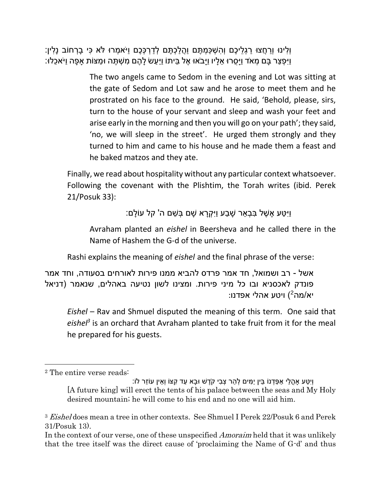```
וְלִינּוּ וְרַחֲצוּ רַגְלֵיכֶם וְהִשְׁכָּמְתֵּם וַהֲלַכְתֵּם לְדַרְכָּכֶם וַיֹּאמְרוּ לֹּא כִּי בַרְחוֹב נַלִין:
וַיִּפְצַר בַּם מְאֹד וַיַּסְרוּ אֵלָיו וַיַּבֹאוּ אֵל בֵּיתוֹ וַיַּעַשׂ לַהֵם מְשָׁתֵּה וּמַצּוֹת אַפָּה וַיֹּאכֵלוּ:
```
The two angels came to Sedom in the evening and Lot was sitting at the gate of Sedom and Lot saw and he arose to meet them and he prostrated on his face to the ground. He said, 'Behold, please, sirs, turn to the house of your servant and sleep and wash your feet and arise early in the morning and then you will go on your path'; they said, 'no, we will sleep in the street'. He urged them strongly and they turned to him and came to his house and he made them a feast and he baked matzos and they ate.

Finally, we read about hospitality without any particular context whatsoever. Following the covenant with the Plishtim, the Torah writes (ibid. Perek 21/Posuk 33):

וַיִּטַע אֵשֶׁל בְּבָאֵר שַׁבַע וַיִּקְרַא שַׁם בְּשֵׁם ה' קל עוֹלַם:

Avraham planted an *eishel* in Beersheva and he called there in the Name of Hashem the G-d of the universe.

Rashi explains the meaning of *eishel* and the final phrase of the verse:

אשל - רב ושמואל, חד אמר פרדס להביא ממנו פירות לאורחים בסעודה, וחד אמר פונדק לאכסניא ובו כל מיני פירות. ומצינו לשון נטיעה באהלים, שנאמר )דניאל :יא/מה<sup>2</sup>) ויטע אהלי אפדנו

*Eishel* – Rav and Shmuel disputed the meaning of this term. One said that *eishel<sup>3</sup>* is an orchard that Avraham planted to take fruit from it for the meal he prepared for his guests.

<sup>2</sup> The entire verse reads:

וְיָטַע אַהֶלֵי אַפֵּדָנוֹ בֵּין יַמִּים לְהַר צְבִי קֹדֱשׁ וּבַא עַד קִצּוֹ וְאֵין עוֹזֶר לֹוֹ: [A future king] will erect the tents of his palace between the seas and My Holy desired mountain; he will come to his end and no one will aid him.

<sup>&</sup>lt;sup>3</sup> Eisheldoes mean a tree in other contexts. See Shmuel I Perek 22/Posuk 6 and Perek 31/Posuk 13).

In the context of our verse, one of these unspecified *Amoraim* held that it was unlikely that the tree itself was the direct cause of 'proclaiming the Name of G-d' and thus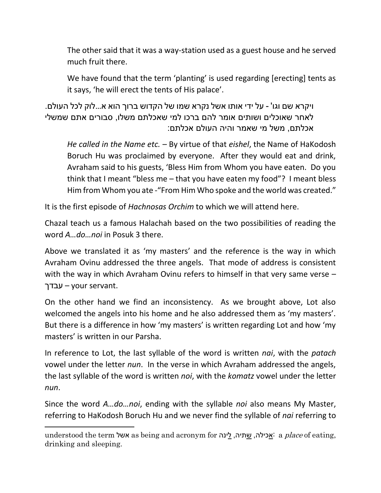The other said that it was a way-station used as a guest house and he served much fruit there.

We have found that the term 'planting' is used regarding [erecting] tents as it says, 'he will erect the tents of His palace'.

ויקרא שם וגו' - על ידי אותו אשל נקרא שמו של הקדוש ברוך הוא א...לוק לכל העולם. לאחר שאוכלים ושותים אומר להם ברכו למי שאכלתם משלו, סבורים אתם שמשלי אכלתם, משל מי שאמר והיה העולם אכלתם:

*He called in the Name etc.* – By virtue of that *eishel*, the Name of HaKodosh Boruch Hu was proclaimed by everyone. After they would eat and drink, Avraham said to his guests, 'Bless Him from Whom you have eaten. Do you think that I meant "bless me – that you have eaten my food"? I meant bless Him from Whom you ate - "From Him Who spoke and the world was created."

It is the first episode of *Hachnosas Orchim* to which we will attend here.

Chazal teach us a famous Halachah based on the two possibilities of reading the word *A…do…noi* in Posuk 3 there.

Above we translated it as 'my masters' and the reference is the way in which Avraham Ovinu addressed the three angels. That mode of address is consistent with the way in which Avraham Ovinu refers to himself in that very same verse – עבדך – your servant.

On the other hand we find an inconsistency. As we brought above, Lot also welcomed the angels into his home and he also addressed them as 'my masters'. But there is a difference in how 'my masters' is written regarding Lot and how 'my masters' is written in our Parsha.

In reference to Lot, the last syllable of the word is written *nai*, with the *patach* vowel under the letter *nun*. In the verse in which Avraham addressed the angels, the last syllable of the word is written *noi*, with the *komatz* vowel under the letter *nun*.

Since the word *A…do…noi*, ending with the syllable *noi* also means My Master, referring to HaKodosh Boruch Hu and we never find the syllable of *nai* referring to

understood the term אשל as being and acronym for לאכילה, שתיה, לינה a place of eating, drinking and sleeping.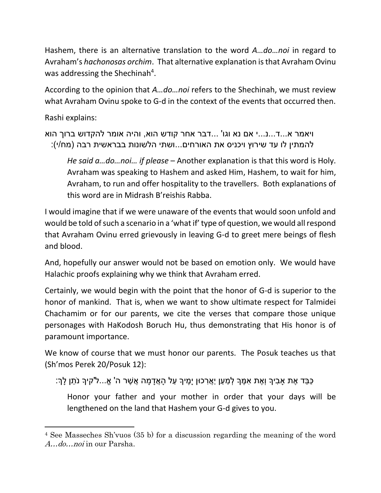Hashem, there is an alternative translation to the word *A…do…noi* in regard to Avraham's *hachonosas orchim*. That alternative explanation is that Avraham Ovinu was addressing the Shechinah<sup>4</sup>.

According to the opinion that *A…do…noi* refers to the Shechinah, we must review what Avraham Ovinu spoke to G-d in the context of the events that occurred then.

Rashi explains:

 $\overline{\phantom{a}}$ 

ויאמר א...ד...נ...י אם נא וגו' ...דבר אחר קודש הוא, והיה אומר להקדוש ברוך הוא להמתין לו עד שירוץ ויכניס את האורחים...ושתי הלשונות בבראשית רבה (מח/י):

*He said a…do…noi… if please* – Another explanation is that this word is Holy. Avraham was speaking to Hashem and asked Him, Hashem, to wait for him, Avraham, to run and offer hospitality to the travellers. Both explanations of this word are in Midrash B'reishis Rabba.

I would imagine that if we were unaware of the events that would soon unfold and would be told of such a scenario in a 'what if' type of question, we would all respond that Avraham Ovinu erred grievously in leaving G-d to greet mere beings of flesh and blood.

And, hopefully our answer would not be based on emotion only. We would have Halachic proofs explaining why we think that Avraham erred.

Certainly, we would begin with the point that the honor of G-d is superior to the honor of mankind. That is, when we want to show ultimate respect for Talmidei Chachamim or for our parents, we cite the verses that compare those unique personages with HaKodosh Boruch Hu, thus demonstrating that His honor is of paramount importance.

We know of course that we must honor our parents. The Posuk teaches us that (Sh'mos Perek 20/Posuk 12):

ַּכְּבֵּד אֶת אַבִיךְ וְאֵת אִמֵּךְ לְמַעַן יַאֲרְכוּן יָמֵיךָ עַל הָאֲדָמָה אֲשָׁר ה' אֱ...ל'קיךְ נֹתֶן לָךְ:

Honor your father and your mother in order that your days will be lengthened on the land that Hashem your G-d gives to you.

<sup>4</sup> See Masseches Sh'vuos (35 b) for a discussion regarding the meaning of the word A…do…noi in our Parsha.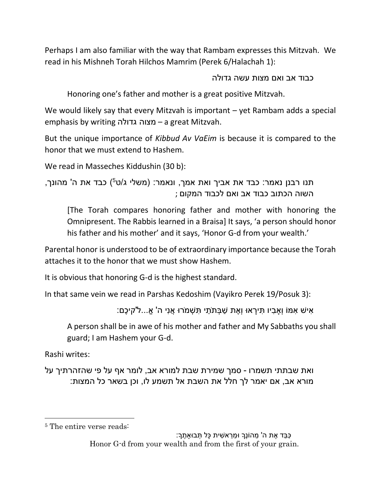Perhaps I am also familiar with the way that Rambam expresses this Mitzvah. We read in his Mishneh Torah Hilchos Mamrim (Perek 6/Halachah 1):

כבוד אב ואם מצות עשה גדולה

Honoring one's father and mother is a great positive Mitzvah.

We would likely say that every Mitzvah is important – yet Rambam adds a special emphasis by writing גדולה מצוה – a great Mitzvah.

But the unique importance of *Kibbud Av VaEim* is because it is compared to the honor that we must extend to Hashem.

We read in Masseches Kiddushin (30 b):

```
תנו רבנן נאמר: כבד את אביך ואת אמך, ונאמר: )משלי ג/ט
5
( כבד את ה' מהונך, 
                                   השוה הכתוב כבוד אב ואם לכבוד המקום ;
```
[The Torah compares honoring father and mother with honoring the Omnipresent. The Rabbis learned in a Braisa] It says, 'a person should honor his father and his mother' and it says, 'Honor G-d from your wealth.'

Parental honor is understood to be of extraordinary importance because the Torah attaches it to the honor that we must show Hashem.

It is obvious that honoring G-d is the highest standard.

In that same vein we read in Parshas Kedoshim (Vayikro Perek 19/Posuk 3):

ָּאישׁ אַמּוֹ וְאָביו תּירָאוּ וְאֶת שַׁבַּתֹתי ִתְּשָׁמֹרוּ אֲני ה' אֱ...ל'קיכֶם:

A person shall be in awe of his mother and father and My Sabbaths you shall guard; I am Hashem your G-d.

Rashi writes:

 $\overline{\phantom{a}}$ 

ואת שבתתי תשמרו - סמך שמירת שבת למורא אב, לומר אף על פי שהזהרתיך על מורא אב, אם יאמר לך חלל את השבת אל תשמע לו, וכן בשאר כל המצות:

ָּכֵּבֵד אֶת ה' מהוֹנֵךְ וּמִראשׁית כּל תָּבוּאתֵךָ: Honor G-d from your wealth and from the first of your grain.

<sup>5</sup> The entire verse reads: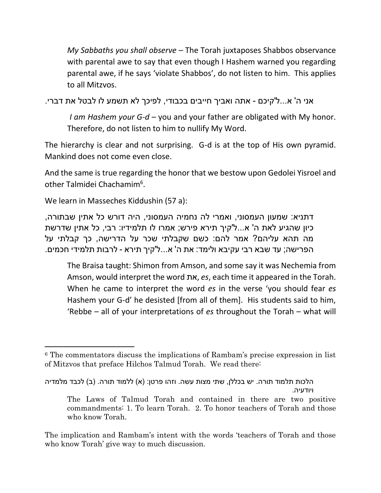*My Sabbaths you shall observe* – The Torah juxtaposes Shabbos observance with parental awe to say that even though I Hashem warned you regarding parental awe, if he says 'violate Shabbos', do not listen to him. This applies to all Mitzvos.

אני ה' א...ל'קיכם - אתה ואביך חייבים בכבודי, לפיכך לא תשמע לו לבטל את דברי.

*I am Hashem your G-d* – you and your father are obligated with My honor. Therefore, do not listen to him to nullify My Word.

The hierarchy is clear and not surprising. G-d is at the top of His own pyramid. Mankind does not come even close.

And the same is true regarding the honor that we bestow upon Gedolei Yisroel and other Talmidei Chachamim<sup>6</sup>.

We learn in Masseches Kiddushin (57 a):

l

דתניא: שמעון העמסוני, ואמרי לה נחמיה העמסוני, היה דורש כל אתין שבתורה, כיון שהגיע לאת ה' א...ל'קיך תירא פירש; אמרו לו תלמידיו: רבי, כל אתין שדרשת מה תהא עליהם? אמר להם: כשם שקבלתי שכר על הדרישה, כך קבלתי על הפרישה; עד שבא רבי עקיבא ולימד: את ה' א...ל'קיך תירא - לרבות תלמידי חכמים.

The Braisa taught: Shimon from Amson, and some say it was Nechemia from Amson, would interpret the word את, *es*, each time it appeared in the Torah. When he came to interpret the word *es* in the verse 'you should fear *es* Hashem your G-d' he desisted [from all of them]. His students said to him, 'Rebbe – all of your interpretations of *es* throughout the Torah – what will

The implication and Rambam's intent with the words 'teachers of Torah and those who know Torah' give way to much discussion.

<sup>6</sup> The commentators discuss the implications of Rambam's precise expression in list of Mitzvos that preface Hilchos Talmud Torah. We read there:

הלכות תלמוד תורה. יש בכללן, שתי מצות עשה. וזהו פרטן: (א) ללמוד תורה. (ב) לכבד מלמדיה ויודעיה.

The Laws of Talmud Torah and contained in there are two positive commandments: 1. To learn Torah. 2. To honor teachers of Torah and those who know Torah.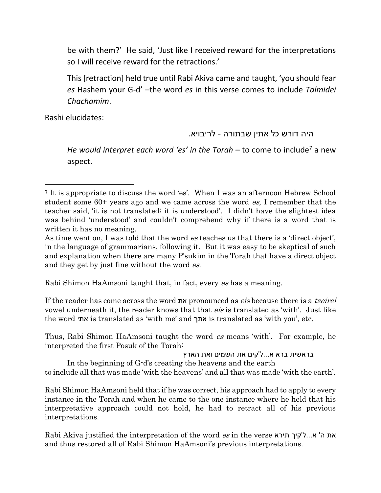be with them?' He said, 'Just like I received reward for the interpretations so I will receive reward for the retractions.'

This [retraction] held true until Rabi Akiva came and taught, 'you should fear *es* Hashem your G-d' –the word *es* in this verse comes to include *Talmidei Chachamim*.

Rashi elucidates:

 $\overline{a}$ 

## היה דורש כל אתין שבתורה - לריבויא.

*He would interpret each word 'es' in the Torah* – to come to include<sup>7</sup> a new aspect.

Rabi Shimon HaAmsoni taught that, in fact, every es has a meaning.

If the reader has come across the word את pronounced as eis because there is a tzeirei vowel underneath it, the reader knows that that *eis* is translated as 'with'. Just like the word אתי is translated as 'with me' and אתך is translated as 'with you', etc.

Thus, Rabi Shimon HaAmsoni taught the word es means 'with'. For example, he interpreted the first Posuk of the Torah:

בראשית ברא א...ל'קים את השמים ואת הארץ

In the beginning of G-d's creating the heavens and the earth to include all that was made 'with the heavens' and all that was made 'with the earth'.

Rabi Shimon HaAmsoni held that if he was correct, his approach had to apply to every instance in the Torah and when he came to the one instance where he held that his interpretative approach could not hold, he had to retract all of his previous interpretations.

Rabi Akiva justified the interpretation of the word *es* in the verse את ה' א...ל'קיך תירא and thus restored all of Rabi Shimon HaAmsoni's previous interpretations.

<sup>7</sup> It is appropriate to discuss the word 'es'. When I was an afternoon Hebrew School student some 60+ years ago and we came across the word es, I remember that the teacher said, 'it is not translated; it is understood'. I didn't have the slightest idea was behind 'understood' and couldn't comprehend why if there is a word that is written it has no meaning.

As time went on, I was told that the word es teaches us that there is a 'direct object', in the language of grammarians, following it. But it was easy to be skeptical of such and explanation when there are many P'sukim in the Torah that have a direct object and they get by just fine without the word es.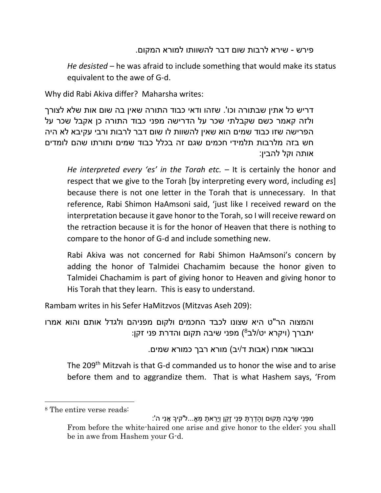### פירש - שירא לרבות שום דבר להשוותו למורא המקום.

*He desisted* – he was afraid to include something that would make its status equivalent to the awe of G-d.

Why did Rabi Akiva differ? Maharsha writes:

דריש כל אתין שבתורה וכו'. שזהו ודאי כבוד התורה שאין בה שום אות שלא לצורך ולזה קאמר כשם שקבלתי שכר על הדרישה מפני כבוד התורה כן אקבל שכר על הפרישה שזו כבוד שמים הוא שאין להשוות לו שום דבר לרבות ורבי עקיבא לא היה חש בזה מלרבות תלמידי חכמים שגם זה בכלל כבוד שמים ותורתו שהם לומדים אותה וקל להבין:

*He interpreted every 'es' in the Torah etc.* – It is certainly the honor and respect that we give to the Torah [by interpreting every word, including *es*] because there is not one letter in the Torah that is unnecessary. In that reference, Rabi Shimon HaAmsoni said, 'just like I received reward on the interpretation because it gave honor to the Torah, so I will receive reward on the retraction because it is for the honor of Heaven that there is nothing to compare to the honor of G-d and include something new.

Rabi Akiva was not concerned for Rabi Shimon HaAmsoni's concern by adding the honor of Talmidei Chachamim because the honor given to Talmidei Chachamim is part of giving honor to Heaven and giving honor to His Torah that they learn. This is easy to understand.

Rambam writes in his Sefer HaMitzvos (Mitzvas Aseh 209):

והמצוה הר"ט היא שצונו לכבד החכמים ולקום מפניהם ולגדל אותם והוא אמרו יתברך (ויקרא יט/לב<sup>8</sup>) מפני שיבה תקום והדרת פני זקן:

ובבאור אמרו (אבות ד/יב) מורא רבך כמורא שמים.

The 209<sup>th</sup> Mitzvah is that G-d commanded us to honor the wise and to arise before them and to aggrandize them. That is what Hashem says, 'From

<sup>8</sup> The entire verse reads:

<sup>ִּ</sup>מ ְפנֵי ֵשי ָּׂבה ָּׂתקּום וְ ָּׂהַד ְר ָּׂת ְפנֵי ָּׂזֵקן וְיֵָּׂרא ָּׂת ֵמ אֹ...ל'קיָך ֲאנִּי ה': From before the white-haired one arise and give honor to the elder; you shall be in awe from Hashem your G-d.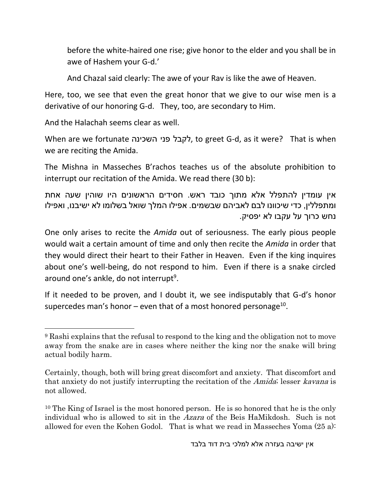before the white-haired one rise; give honor to the elder and you shall be in awe of Hashem your G-d.'

And Chazal said clearly: The awe of your Rav is like the awe of Heaven.

Here, too, we see that even the great honor that we give to our wise men is a derivative of our honoring G-d. They, too, are secondary to Him.

And the Halachah seems clear as well.

When are we fortunate השכינה פני לקבל, to greet G-d, as it were? That is when we are reciting the Amida.

The Mishna in Masseches B'rachos teaches us of the absolute prohibition to interrupt our recitation of the Amida. We read there (30 b):

אין עומדין להתפלל אלא מתוך כובד ראש. חסידים הראשונים היו שוהין שעה אחת ומתפללין, כדי שיכוונו לבם לאביהם שבשמים. אפילו המלך שואל בשלומו לא ישיבנו, ואפילו נחש כרוך על עקבו לא יפסיק.

One only arises to recite the *Amida* out of seriousness. The early pious people would wait a certain amount of time and only then recite the *Amida* in order that they would direct their heart to their Father in Heaven. Even if the king inquires about one's well-being, do not respond to him. Even if there is a snake circled around one's ankle, do not interrupt<sup>9</sup>.

If it needed to be proven, and I doubt it, we see indisputably that G-d's honor supercedes man's honor – even that of a most honored personage<sup>10</sup>.

 $\overline{\phantom{a}}$ <sup>9</sup> Rashi explains that the refusal to respond to the king and the obligation not to move away from the snake are in cases where neither the king nor the snake will bring actual bodily harm.

Certainly, though, both will bring great discomfort and anxiety. That discomfort and that anxiety do not justify interrupting the recitation of the Amida; lesser kavana is not allowed.

 $10$  The King of Israel is the most honored person. He is so honored that he is the only individual who is allowed to sit in the Azara of the Beis HaMikdosh. Such is not allowed for even the Kohen Godol. That is what we read in Masseches Yoma (25 a):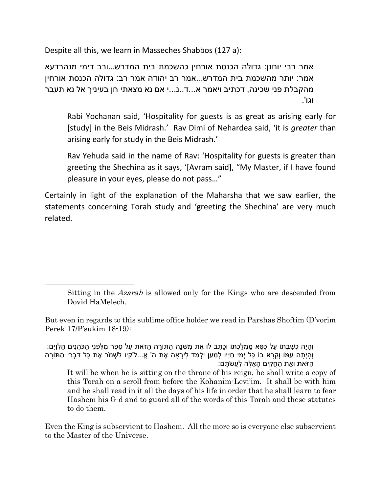Despite all this, we learn in Masseches Shabbos (127 a):

 $\overline{\phantom{a}}$ 

אמר רבי יוחנן: גדולה הכנסת אורחין כהשכמת בית המדרש...ורב דימי מנהרדעא אמר: יותר מהשכמת בית המדרש...אמר רב יהודה אמר רב: גדולה הכנסת אורחין מהקבלת פני שכינה, דכתיב ויאמר א...ד..נ...י אם נא מצאתי חן בעיניך אל נא תעבר וגו'.

Rabi Yochanan said, 'Hospitality for guests is as great as arising early for [study] in the Beis Midrash.' Rav Dimi of Nehardea said, 'it is *greater* than arising early for study in the Beis Midrash.'

Rav Yehuda said in the name of Rav: 'Hospitality for guests is greater than greeting the Shechina as it says, '[Avram said], "My Master, if I have found pleasure in your eyes, please do not pass…"

Certainly in light of the explanation of the Maharsha that we saw earlier, the statements concerning Torah study and 'greeting the Shechina' are very much related.

ְוְהִיה כשבתּוֹ על כַּסּא ממלכתּוֹ וכתב לוֹ את משנה התּוֹרה הזֹאת על ספר מלפני הכֹּהנים הלויּם: וְהָיְתָה עִמּוֹ וְקָרָא בוֹ כָּל יְמֵי חַיָּיו לְמַעַן יִלְמַד לְיִרְאָה אֶת ה' אֱ...ל'קיו לִשְׁמֹר אֶת כָּל דִּבְרֵי הַתּוֹרָה ַהַזֹּאת וְאֶת הַחֻקִּים הַאֵּלֶּה לַעֲשֹׂתַם:

It will be when he is sitting on the throne of his reign, he shall write a copy of this Torah on a scroll from before the Kohanim-Levi'im. It shall be with him and he shall read in it all the days of his life in order that he shall learn to fear Hashem his G-d and to guard all of the words of this Torah and these statutes to do them.

Even the King is subservient to Hashem. All the more so is everyone else subservient to the Master of the Universe.

Sitting in the Azarah is allowed only for the Kings who are descended from Dovid HaMelech.

But even in regards to this sublime office holder we read in Parshas Shoftim (D'vorim Perek 17/P'sukim 18-19):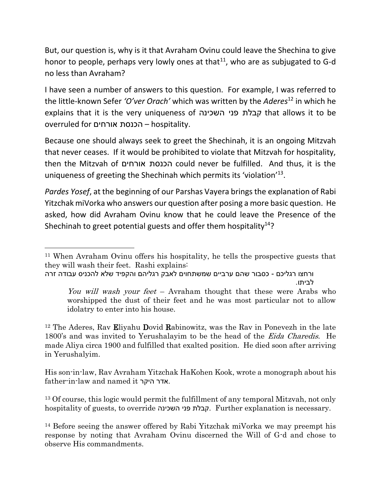But, our question is, why is it that Avraham Ovinu could leave the Shechina to give honor to people, perhaps very lowly ones at that<sup>11</sup>, who are as subjugated to G-d no less than Avraham?

I have seen a number of answers to this question. For example, I was referred to the little-known Sefer *'O'ver Orach'* which was written by the *Aderes*<sup>12</sup> in which he explains that it is the very uniqueness of השכינה פני קבלת that allows it to be overruled for אורחים הכנסת – hospitality.

Because one should always seek to greet the Shechinah, it is an ongoing Mitzvah that never ceases. If it would be prohibited to violate that Mitzvah for hospitality, then the Mitzvah of אורחים הכנסת could never be fulfilled. And thus, it is the uniqueness of greeting the Shechinah which permits its 'violation'<sup>13</sup>.

*Pardes Yosef*, at the beginning of our Parshas Vayera brings the explanation of Rabi Yitzchak miVorka who answers our question after posing a more basic question. He asked, how did Avraham Ovinu know that he could leave the Presence of the Shechinah to greet potential guests and offer them hospitality $14$ ?

ורחצו רגליכם - כסבור שהם ערביים שמשתחוים לאבק רגליהם והקפיד שלא להכניס עבודה זרה לביתו.

l

<sup>12</sup> The Aderes, Rav Eliyahu Dovid Rabinowitz, was the Rav in Ponevezh in the late 1800's and was invited to Yerushalayim to be the head of the Eida Charedis. He made Aliya circa 1900 and fulfilled that exalted position. He died soon after arriving in Yerushalyim.

His son-in-law, Rav Avraham Yitzchak HaKohen Kook, wrote a monograph about his father-in-law and named it היקר אדר.

<sup>13</sup> Of course, this logic would permit the fulfillment of any temporal Mitzvah, not only hospitality of guests, to override השכינה פני קבלת. Further explanation is necessary.

<sup>14</sup> Before seeing the answer offered by Rabi Yitzchak miVorka we may preempt his response by noting that Avraham Ovinu discerned the Will of G-d and chose to observe His commandments.

<sup>11</sup> When Avraham Ovinu offers his hospitality, he tells the prospective guests that they will wash their feet. Rashi explains:

You will wash your feet – Avraham thought that these were Arabs who worshipped the dust of their feet and he was most particular not to allow idolatry to enter into his house.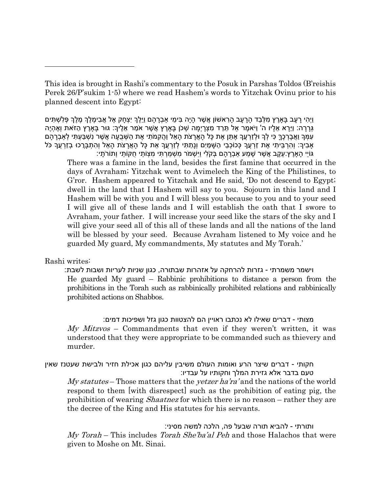This idea is brought in Rashi's commentary to the Posuk in Parshas Toldos (B'reishis Perek 26/P'sukim 1-5) where we read Hashem's words to Yitzchak Ovinu prior to his planned descent into Egypt:

וַיִּהִי רָעָב בָּאַרֶץ מִלְּבַד הָרָעָב הָרְאשׁוֹן אֲשֶׁר הָיָה בִּימֵי אַבְרָהָם וַיֵּלֶךְ יִצְחָק אֶל אֲבִימֶלֶךְ מֶלֶךְ פִּלְשְׁתִּים ְגָּׂרָּׂרה: וַיֵָּׂרא ֵא ָּׂליו ה' וַיֹא ֶּמר ַאל ֵתֵרד ִּמ ְצָּׂריְ ָּׂמה ְשכֹן ָּׂבָאֶּרץ ֲא ֶּשר אַֹמר ֵא ֶּליָך: גּור ָּׂבָאֶּרץ ַהזֹאת וְ ֶּא ְהיֶּה עִמְּךְ וַאֲבָרְכֶךְ כִּי לְךָ וּלְזַרְעֵךְ אֶתֵּן אֶת כָּל הָאֲרָצֹת הָאֵל וַהֵקְמֹתִי אֶת הַשְּׁבֻעָּה אֲשֶׁר נִשְׁבַּעְתִּי לְאַבְרָהָם ָאֲבִיךָ: וְהָרְבֵּיתִי אֶת זַרְעֲךָ כְּכוֹכְבֵי הַשָּׁמַיִם וְנַתָּתִּי לְזַרְעֵךְ אֶת כָּל הָאֲרַצֹת הַאֶל וְהִתְבָּרֵכוּ בְזַרְעֵךְ כֹּל

ֹגּוֹיֵי הָאָרֶץ:עֵקֶב אֲשֶׁר שָׁמַע אַבְרָהָם בְּקֹלִי וַיִּשְׁמֹר מְשָׁמַרְתִּי מְצָוֹתַי חֻקּוֹתַי וְתוֹרֹתָי: There was a famine in the land, besides the first famine that occurred in the days of Avraham; Yitzchak went to Avimelech the King of the Philistines, to G'ror. Hashem appeared to Yitzchak and He said, 'Do not descend to Egypt; dwell in the land that I Hashem will say to you. Sojourn in this land and I Hashem will be with you and I will bless you because to you and to your seed I will give all of these lands and I will establish the oath that I swore to Avraham, your father. I will increase your seed like the stars of the sky and I will give your seed all of this all of these lands and all the nations of the land will be blessed by your seed. Because Avraham listened to My voice and he guarded My guard, My commandments, My statutes and My Torah.'

#### Rashi writes:

 $\overline{\phantom{a}}$ 

וישמר משמרתי - גזרות להרחקה על אזהרות שבתורה, כגון שניות לעריות ושבות לשבת: He guarded My guard – Rabbinic prohibitions to distance a person from the prohibitions in the Torah such as rabbinically prohibited relations and rabbinically prohibited actions on Shabbos.

מצותי - דברים שאילו לא נכתבו ראויין הם להצטוות כגון גזל ושפיכות דמים:  $My$  *Mitzvos* – Commandments that even if they weren't written, it was understood that they were appropriate to be commanded such as thievery and murder.

#### חקותי - דברים שיצר הרע ואומות העולם משיבין עליהם כגון אכילת חזיר ולבישת שעטנז שאין טעם בדבר אלא גזירת המלך וחקותיו על עבדיו:

My statutes – Those matters that the *yetzer ha'ra*' and the nations of the world respond to them [with disrespect] such as the prohibition of eating pig, the prohibition of wearing *Shaatnez* for which there is no reason – rather they are the decree of the King and His statutes for his servants.

ותורתי - להביא תורה שבעל פה, הלכה למשה מסיני:

My Torah – This includes Torah She'ba'al Peh and those Halachos that were given to Moshe on Mt. Sinai.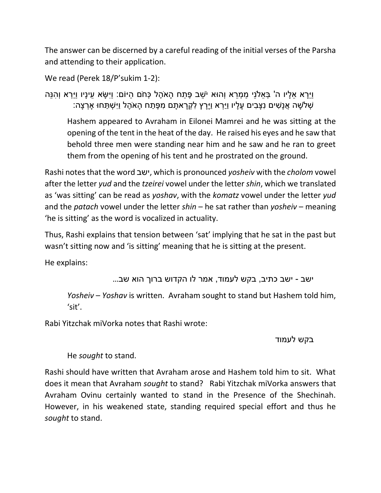The answer can be discerned by a careful reading of the initial verses of the Parsha and attending to their application.

```
We read (Perek 18/P'sukim 1-2):
```

```
וַיֵָּׂרא ֵא ָּׂליו ה' ְב ֵאֹלנֵי ַמ ְמֵרא וְהּוא יֹ ֵשב ֶּפ ַתח ָּׂהאֶֹּהל ְכחֹם ַהיֹום: וַיִּ ָּׂשא ֵעינָּׂיו וַיַ ְרא וְ ִּהנֵה
             ּשִׁלְשָׁה אֲנָשִׁים נִצָּבִים עַלַיו וַיַּרְא וַיַּרַץ לְקְרַאתַם מְפֶּתַח הַאֹהֶל וַיִּשְׁתַּחוּ אַרְצַה:
```
Hashem appeared to Avraham in Eilonei Mamrei and he was sitting at the opening of the tent in the heat of the day. He raised his eyes and he saw that behold three men were standing near him and he saw and he ran to greet them from the opening of his tent and he prostrated on the ground.

Rashi notes that the word ישב, which is pronounced *yosheiv* with the *cholom* vowel after the letter *yud* and the *tzeirei* vowel under the letter *shin*, which we translated as 'was sitting' can be read as *yoshav*, with the *komatz* vowel under the letter *yud* and the *patach* vowel under the letter *shin* – he sat rather than *yosheiv* – meaning 'he is sitting' as the word is vocalized in actuality.

Thus, Rashi explains that tension between 'sat' implying that he sat in the past but wasn't sitting now and 'is sitting' meaning that he is sitting at the present.

He explains:

ישב - ישב כתיב, בקש לעמוד, אמר לו הקדוש ברוך הוא שב...

*Yosheiv* – *Yoshav* is written. Avraham sought to stand but Hashem told him, 'sit'.

Rabi Yitzchak miVorka notes that Rashi wrote:

## בקש לעמוד

# He *sought* to stand.

Rashi should have written that Avraham arose and Hashem told him to sit. What does it mean that Avraham *sought* to stand? Rabi Yitzchak miVorka answers that Avraham Ovinu certainly wanted to stand in the Presence of the Shechinah. However, in his weakened state, standing required special effort and thus he *sought* to stand.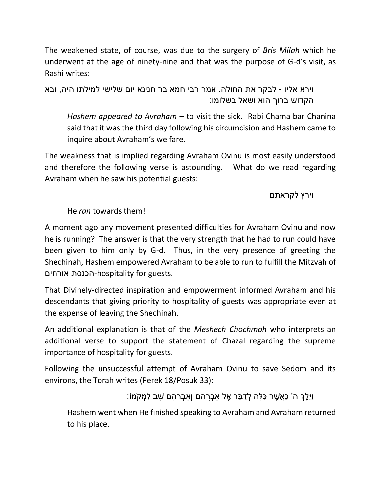The weakened state, of course, was due to the surgery of *Bris Milah* which he underwent at the age of ninety-nine and that was the purpose of G-d's visit, as Rashi writes:

וירא אליו - לבקר את החולה. אמר רבי חמא בר חנינא יום שלישי למילתו היה, ובא הקדוש ברוך הוא ושאל בשלומו:

*Hashem appeared to Avraham* – to visit the sick. Rabi Chama bar Chanina said that it was the third day following his circumcision and Hashem came to inquire about Avraham's welfare.

The weakness that is implied regarding Avraham Ovinu is most easily understood and therefore the following verse is astounding. What do we read regarding Avraham when he saw his potential guests:

וירץ לקראתם

He *ran* towards them!

A moment ago any movement presented difficulties for Avraham Ovinu and now he is running? The answer is that the very strength that he had to run could have been given to him only by G-d. Thus, in the very presence of greeting the Shechinah, Hashem empowered Avraham to be able to run to fulfill the Mitzvah of אורחים הכנסת-hospitality for guests.

That Divinely-directed inspiration and empowerment informed Avraham and his descendants that giving priority to hospitality of guests was appropriate even at the expense of leaving the Shechinah.

An additional explanation is that of the *Meshech Chochmoh* who interprets an additional verse to support the statement of Chazal regarding the supreme importance of hospitality for guests.

Following the unsuccessful attempt of Avraham Ovinu to save Sedom and its environs, the Torah writes (Perek 18/Posuk 33):

וַיֵ ֶּלְך ה' ַכ ֲא ֶּשר ִּכ ָּׂלה ְל ַד ֵבר ֶּאל ַא ְבָּׂר ָּׂהם וְַא ְבָּׂר ָּׂהם ָּׂשב ִּל ְמקֹמֹו:

Hashem went when He finished speaking to Avraham and Avraham returned to his place.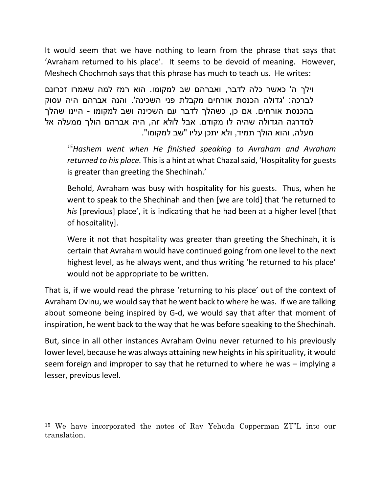It would seem that we have nothing to learn from the phrase that says that 'Avraham returned to his place'. It seems to be devoid of meaning. However, Meshech Chochmoh says that this phrase has much to teach us. He writes:

וילך ה' כאשר כלה לדבר, ואברהם שב למקומו. הוא רמז למה שאמרו זכרונם לברכה: 'גדולה הכנסת אורחים מקבלת פני השכינה'. והנה אברהם היה עסוק בהכנסת אורחים. אם כן, כשהלך לדבר עם השכינה ושב למקומו - היינו שהלך למדרגה הגדולה שהיה לו מקודם. אבל לולא זה, היה אברהם הולך ממעלה אל מעלה, והוא הולך תמיד, ולא יתכן עליו "שב למקומו".

*<sup>15</sup>Hashem went when He finished speaking to Avraham and Avraham returned to his place.* This is a hint at what Chazal said, 'Hospitality for guests is greater than greeting the Shechinah.'

Behold, Avraham was busy with hospitality for his guests. Thus, when he went to speak to the Shechinah and then [we are told] that 'he returned to *his* [previous] place', it is indicating that he had been at a higher level [that of hospitality].

Were it not that hospitality was greater than greeting the Shechinah, it is certain that Avraham would have continued going from one level to the next highest level, as he always went, and thus writing 'he returned to his place' would not be appropriate to be written.

That is, if we would read the phrase 'returning to his place' out of the context of Avraham Ovinu, we would say that he went back to where he was. If we are talking about someone being inspired by G-d, we would say that after that moment of inspiration, he went back to the way that he was before speaking to the Shechinah.

But, since in all other instances Avraham Ovinu never returned to his previously lower level, because he was always attaining new heights in his spirituality, it would seem foreign and improper to say that he returned to where he was – implying a lesser, previous level.

<sup>15</sup> We have incorporated the notes of Rav Yehuda Copperman ZT"L into our translation.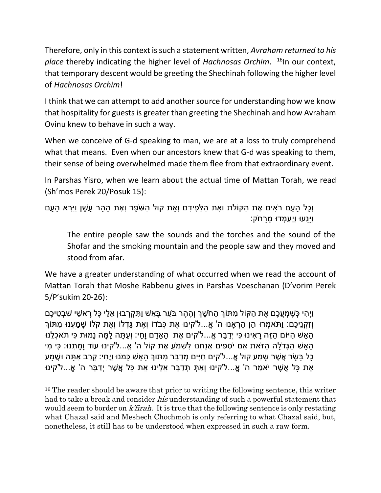Therefore, only in this context is such a statement written, *Avraham returned to his place* thereby indicating the higher level of *Hachnosas Orchim*. <sup>16</sup>In our context, that temporary descent would be greeting the Shechinah following the higher level of *Hachnosas Orchim*!

I think that we can attempt to add another source for understanding how we know that hospitality for guests is greater than greeting the Shechinah and how Avraham Ovinu knew to behave in such a way.

When we conceive of G-d speaking to man, we are at a loss to truly comprehend what that means. Even when our ancestors knew that G-d was speaking to them, their sense of being overwhelmed made them flee from that extraordinary event.

In Parshas Yisro, when we learn about the actual time of Mattan Torah, we read (Sh'mos Perek 20/Posuk 15):

וְכָל הָעָם רֹאִים אֶת הַקּוֹלֹת וְאֶת הַלַּפִּידָם וְאֵת קוֹל הַשֹּׁפָר וְאֶת הָהָר עָשֵׁן וַיַּרְא הָעָם וַיַּנַעוּ וַיַּעַמְדוּ מֵרַחֹק:

The entire people saw the sounds and the torches and the sound of the Shofar and the smoking mountain and the people saw and they moved and stood from afar.

We have a greater understanding of what occurred when we read the account of Mattan Torah that Moshe Rabbenu gives in Parshas Voeschanan (D'vorim Perek 5/P'sukim 20-26):

וַיְהִי כְּשַׁמְעֵכֶם אֶת הַקּוֹל מִתּוֹךְ הַחֹשֶׁךְ וְהַהָר בֹּעֶר בַּאֵשׁ וַתִּקְרָבוּן אֵלֵי כַּל רַאשֵׁי שִׁבְטֵיכֶם וְזִּקְנֵיכֶם: וַתֹּאמְרוּ הֶן הֶרְאנוּ ה' אֱ...ל'קינוּ אֶת כְּבֹדוֹ וְאֶת גַּדְלוֹ וְאֶת קֹלֹוֹ שַׁמַעְנוּ מִתּוֹךְ ָּהָאֵשׁ הַיּוֹם הַזֶּה רָאִינוּ כִּי יְדַבֶּר אֱ...ל'קים אֶת הָאַדָם וָחָי: וְעַתָּה לָמָּה נָמוּת כִּי תֹאכְלֵנוּ ַּהַאָּׂש הַגְּדֹלָה הזֹאַת אִם יֹסְפִים אֲנַחְנוּ לִשָּׁמֹע אֶת קוֹל ה' אֵ...ל'קינוּ עוֹד וַמִּתְנוּ: כּי מי ָֿכָּל בַּשָּׂר אֲשֶׁר שַׁמַע קוֹל אֵ...ל'קים חַיִּים מְדַבֵּר מִתּוֹךְ הַאֵשׁ כָּמֹנוּ וַיֵּחִי: קְרַב אַתָּה וּשָׁמַע ֿאֵת כָּל אֲשֶׁר יֹאמַר ה' אֱ...ל'קינוּ וְאַתְּ תְּדַבֵּר אֵלֶינוּ אֵת כָּל אֲשֶׁר יְדַבֵּר ה' אֱ...ל'קינוּ

 $\overline{a}$ 

<sup>&</sup>lt;sup>16</sup> The reader should be aware that prior to writing the following sentence, this writer had to take a break and consider *his* understanding of such a powerful statement that would seem to border on *k'firah*. It is true that the following sentence is only restating what Chazal said and Meshech Chochmoh is only referring to what Chazal said, but, nonetheless, it still has to be understood when expressed in such a raw form.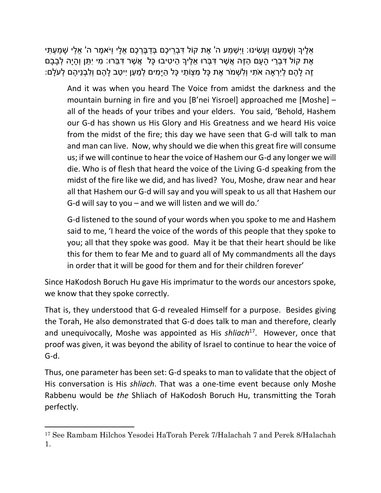ֿאֶלֶיךָ וְשַׁמַעְנוּ וְעַשִׂינוּ: וַיִּשְׁמַע ה' אֶת קוֹל דְּבָרֵיכֶם בְּדַבֶּרְכֶם אֵלַי וַיֹּאמֶר ה' אֵלַי שַׁמַעְתִּי ָּאֶת קוֹל דְּבָרֵי הָעָם הַזֶּה אֲשֶׁר דְּבָּרוּ אֶלֶיךָ הֵיטִיבוּ כָּל ְאֲשֶׁר דְּבֵּרוּ: מִי יְתֶּן וְהָיָה לְבָבָם ָּזָה לַהֶם לְיָרָאה אֹתִי וְלִשְׁמֹר אֶת כַּל מִצְוֹתַי כַּל הַיַּמִּים לְמַעַן יִיטַב לַהֶם וְלִבְנֵיהֶם לְעֹלַם:

And it was when you heard The Voice from amidst the darkness and the mountain burning in fire and you [B'nei Yisroel] approached me [Moshe] – all of the heads of your tribes and your elders. You said, 'Behold, Hashem our G-d has shown us His Glory and His Greatness and we heard His voice from the midst of the fire; this day we have seen that G-d will talk to man and man can live. Now, why should we die when this great fire will consume us; if we will continue to hear the voice of Hashem our G-d any longer we will die. Who is of flesh that heard the voice of the Living G-d speaking from the midst of the fire like we did, and has lived? You, Moshe, draw near and hear all that Hashem our G-d will say and you will speak to us all that Hashem our G-d will say to you – and we will listen and we will do.'

G-d listened to the sound of your words when you spoke to me and Hashem said to me, 'I heard the voice of the words of this people that they spoke to you; all that they spoke was good. May it be that their heart should be like this for them to fear Me and to guard all of My commandments all the days in order that it will be good for them and for their children forever'

Since HaKodosh Boruch Hu gave His imprimatur to the words our ancestors spoke, we know that they spoke correctly.

That is, they understood that G-d revealed Himself for a purpose. Besides giving the Torah, He also demonstrated that G-d does talk to man and therefore, clearly and unequivocally, Moshe was appointed as His *shliach*<sup>17</sup> . However, once that proof was given, it was beyond the ability of Israel to continue to hear the voice of G-d.

Thus, one parameter has been set: G-d speaks to man to validate that the object of His conversation is His *shliach*. That was a one-time event because only Moshe Rabbenu would be *the* Shliach of HaKodosh Boruch Hu, transmitting the Torah perfectly.

<sup>17</sup> See Rambam Hilchos Yesodei HaTorah Perek 7/Halachah 7 and Perek 8/Halachah 1.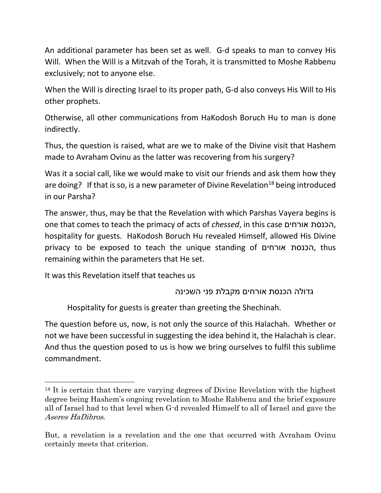An additional parameter has been set as well. G-d speaks to man to convey His Will. When the Will is a Mitzvah of the Torah, it is transmitted to Moshe Rabbenu exclusively; not to anyone else.

When the Will is directing Israel to its proper path, G-d also conveys His Will to His other prophets.

Otherwise, all other communications from HaKodosh Boruch Hu to man is done indirectly.

Thus, the question is raised, what are we to make of the Divine visit that Hashem made to Avraham Ovinu as the latter was recovering from his surgery?

Was it a social call, like we would make to visit our friends and ask them how they are doing? If that is so, is a new parameter of Divine Revelation<sup>18</sup> being introduced in our Parsha?

The answer, thus, may be that the Revelation with which Parshas Vayera begins is one that comes to teach the primacy of acts of *chessed*, in this case אורחים הכנסת, hospitality for guests. HaKodosh Boruch Hu revealed Himself, allowed His Divine privacy to be exposed to teach the unique standing of אורחים הכנסת, thus remaining within the parameters that He set.

It was this Revelation itself that teaches us

 $\overline{a}$ 

גדולה הכנסת אורחים מקבלת פני השכינה

Hospitality for guests is greater than greeting the Shechinah.

The question before us, now, is not only the source of this Halachah. Whether or not we have been successful in suggesting the idea behind it, the Halachah is clear. And thus the question posed to us is how we bring ourselves to fulfil this sublime commandment.

<sup>18</sup> It is certain that there are varying degrees of Divine Revelation with the highest degree being Hashem's ongoing revelation to Moshe Rabbenu and the brief exposure all of Israel had to that level when G-d revealed Himself to all of Israel and gave the Aseres HaDibros.

But, a revelation is a revelation and the one that occurred with Avraham Ovinu certainly meets that criterion.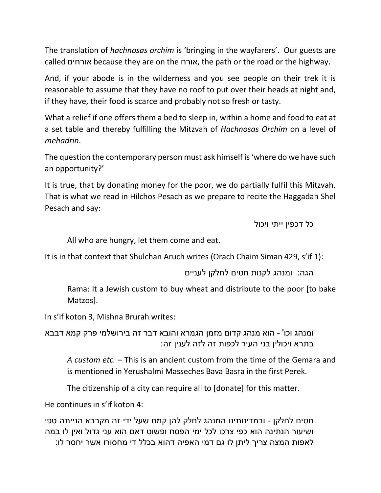The translation of *hachnosas orchim* is 'bringing in the wayfarers'. Our guests are called אורחים because they are on the אורח, the path or the road or the highway.

And, if your abode is in the wilderness and you see people on their trek it is reasonable to assume that they have no roof to put over their heads at night and, if they have, their food is scarce and probably not so fresh or tasty.

What a relief if one offers them a bed to sleep in, within a home and food to eat at a set table and thereby fulfilling the Mitzvah of *Hachnosas Orchim* on a level of *mehadrin*.

The question the contemporary person must ask himself is 'where do we have such an opportunity?'

It is true, that by donating money for the poor, we do partially fulfil this Mitzvah. That is what we read in Hilchos Pesach as we prepare to recite the Haggadah Shel Pesach and say:

כל דכפין ייתי ויכול

All who are hungry, let them come and eat.

It is in that context that Shulchan Aruch writes (Orach Chaim Siman 429, s'if 1):

הגה: ומנהג לקנות חטים לחלקן לעניים

Rama: It a Jewish custom to buy wheat and distribute to the poor [to bake Matzos].

In s'if koton 3, Mishna Brurah writes:

ומנהג וכו' - הוא מנהג קדום מזמן הגמרא והובא דבר זה בירושלמי פרק קמא דבבא בתרא ויכולין בני העיר לכפות זה לזה לענין זה:

*A custom etc.* – This is an ancient custom from the time of the Gemara and is mentioned in Yerushalmi Masseches Bava Basra in the first Perek.

The citizenship of a city can require all to [donate] for this matter.

He continues in s'if koton 4:

חטים לחלקן - ובמדינותינו המנהג לחלק להן קמח שעל ידי זה מקרבא הנייתה טפי ושיעור הנתינה הוא כפי צרכו לכל ימי הפסח ופשוט דאם הוא עני גדול ואין לו במה לאפות המצה צריך ליתן לו גם דמי האפיה דהוא בכלל די מחסורו אשר יחסר לו: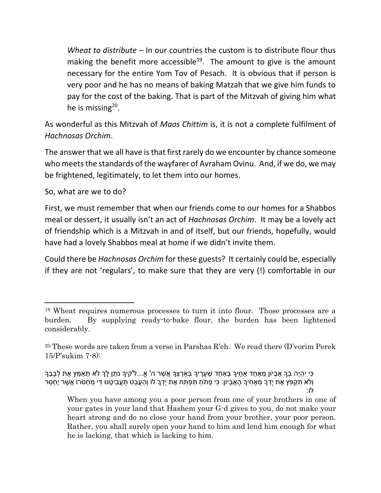*Wheat to distribute* – In our countries the custom is to distribute flour thus making the benefit more accessible<sup>19</sup>. The amount to give is the amount necessary for the entire Yom Tov of Pesach. It is obvious that if person is very poor and he has no means of baking Matzah that we give him funds to pay for the cost of the baking. That is part of the Mitzvah of giving him what he is missing<sup>20</sup>.

As wonderful as this Mitzvah of *Maos Chittim* is, it is not a complete fulfilment of *Hachnosas Orchim*.

The answer that we all have is that first rarely do we encounter by chance someone who meets the standards of the wayfarer of Avraham Ovinu. And, if we do, we may be frightened, legitimately, to let them into our homes.

So, what are we to do?

 $\overline{\phantom{a}}$ 

First, we must remember that when our friends come to our homes for a Shabbos meal or dessert, it usually isn't an act of *Hachnosas Orchim*. It may be a lovely act of friendship which is a Mitzvah in and of itself, but our friends, hopefully, would have had a lovely Shabbos meal at home if we didn't invite them.

Could there be *Hachnosas Orchim* for these guests? It certainly could be, especially if they are not 'regulars', to make sure that they are very (!) comfortable in our

ָּכִּי יְהָיֵה בְךָ אֶבִיוֹן מֵאַחֲד אַחֵיךָ בָּאַחָד שָׁעֲרֵיךָ בָּאַרְצָךְ אֲשֶׁר ה' אֱ...ל'קיךְ נֹתֵן לַךְ לֹא תְאַמֵּץ אֶת לְבָבְךָ וְלֹא תִקְפֹּץ אֶת יָדְךָ מֵאַחִיךָ הָאֶבִיוֹן: כִּי פָתֹחַ תִּפְתַּח אֶת יָדָךְ לוֹ וְהַעֲבֶט תַּעֲבִיטֶנּוּ דֵּי מַחְסֹרוֹ אֲשֶׁר יֶחְסַר לֹו:

When you have among you a poor person from one of your brothers in one of your gates in your land that Hashem your G-d gives to you, do not make your heart strong and do no close your hand from your brother, your poor person. Rather, you shall surely open your hand to him and lend him enough for what he is lacking, that which is lacking to him.

<sup>19</sup> Wheat requires numerous processes to turn it into flour. Those processes are a burden. By supplying ready-to-bake flour, the burden has been lightened considerably.

<sup>&</sup>lt;sup>20</sup> These words are taken from a verse in Parshas R'eh. We read there  $(D'$ vorim Perek 15/P'sukim 7-8):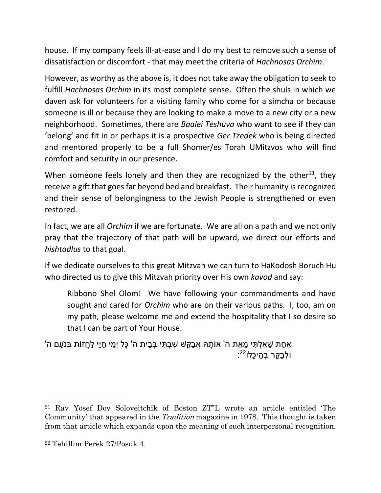house. If my company feels ill-at-ease and I do my best to remove such a sense of dissatisfaction or discomfort - that may meet the criteria of *Hachnosas Orchim*.

However, as worthy as the above is, it does not take away the obligation to seek to fulfill *Hachnosas Orchim* in its most complete sense. Often the shuls in which we daven ask for volunteers for a visiting family who come for a simcha or because someone is ill or because they are looking to make a move to a new city or a new neighborhood. Sometimes, there are *Baalei Teshuva* who want to see if they can 'belong' and fit in or perhaps it is a prospective *Ger Tzedek* who is being directed and mentored properly to be a full Shomer/es Torah UMitzvos who will find comfort and security in our presence.

When someone feels lonely and then they are recognized by the other<sup>21</sup>, they receive a gift that goes far beyond bed and breakfast. Their humanity is recognized and their sense of belongingness to the Jewish People is strengthened or even restored.

In fact, we are all *Orchim* if we are fortunate. We are all on a path and we not only pray that the trajectory of that path will be upward, we direct our efforts and *hishtadlus* to that goal.

If we dedicate ourselves to this great Mitzvah we can turn to HaKodosh Boruch Hu who directed us to give this Mitzvah priority over His own *kavod* and say:

Ribbono Shel Olom! We have following your commandments and have sought and cared for *Orchim* who are on their various paths. I, too, am on my path, please welcome me and extend the hospitality that I so desire so that I can be part of Your House.

ֹאחַת שַׁאלְתִּי מֵאֵת ה' אוֹתַהּ אֲבַקֵּשׁ שְׁבָתִּי בְּבֵית ה' כַּל יְמֵי חַיַּי לַחֲזוֹת בִּנֹעַם ה' וּלְבַקֵּר בְּהֵיכָלו<sup>22</sup>ׂ:

<sup>21</sup> Rav Yosef Dov Soloveitchik of Boston ZT"L wrote an article entitled 'The Community' that appeared in the *Tradition* magazine in 1978. This thought is taken from that article which expands upon the meaning of such interpersonal recognition.

<sup>22</sup> Tehillim Perek 27/Posuk 4.